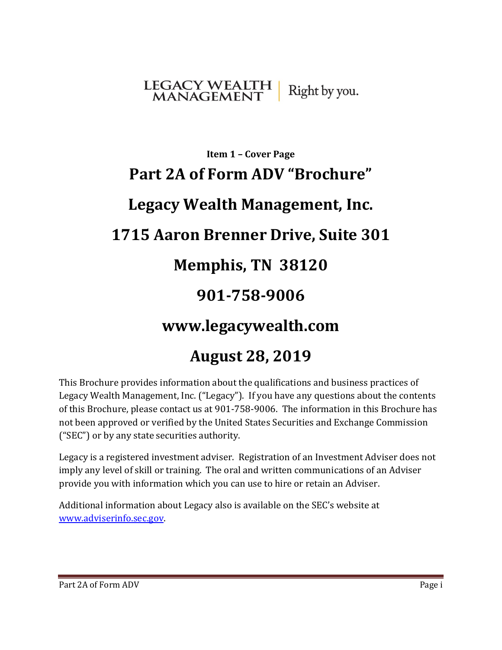## <span id="page-0-0"></span>LEGACY WEALTH<br>MANAGEMENT Right by you.

# **Item 1 – Cover Page Part 2A of Form ADV "Brochure" Legacy Wealth Management, Inc. 1715 Aaron Brenner Drive, Suite 301 Memphis, TN 38120 901-758-9006 www.legacywealth.com**

## **August 28, 2019**

This Brochure provides information about the qualifications and business practices of Legacy Wealth Management, Inc. ("Legacy"). If you have any questions about the contents of this Brochure, please contact us at 901-758-9006. The information in this Brochure has not been approved or verified by the United States Securities and Exchange Commission ("SEC") or by any state securities authority.

Legacy is a registered investment adviser. Registration of an Investment Adviser does not imply any level of skill or training. The oral and written communications of an Adviser provide you with information which you can use to hire or retain an Adviser.

Additional information about Legacy also is available on the SEC's website at [www.adviserinfo.sec.gov.](http://www.adviserinfo.sec.gov/)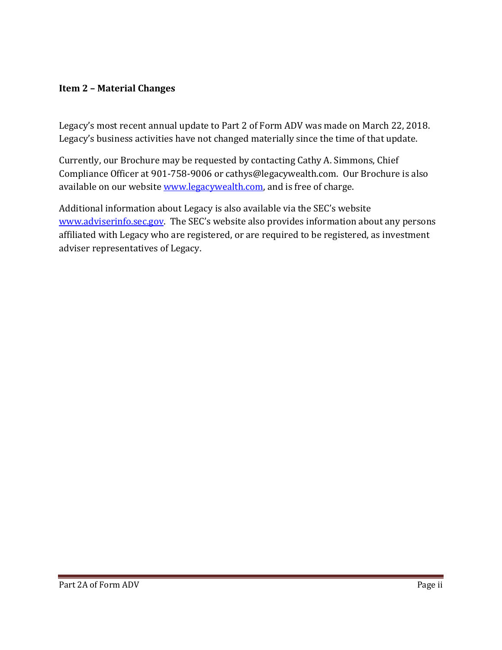#### <span id="page-1-0"></span>**Item 2 – Material Changes**

Legacy's most recent annual update to Part 2 of Form ADV was made on March 22, 2018. Legacy's business activities have not changed materially since the time of that update.

Currently, our Brochure may be requested by contacting Cathy A. Simmons, Chief Compliance Officer at 901-758-9006 or cathys@legacywealth.com. Our Brochure is also available on our websit[e www.legacywealth.com,](http://www.legacywealth.com/) and is free of charge.

<span id="page-1-1"></span>Additional information about Legacy is also available via the SEC's website [www.adviserinfo.sec.gov.](http://www.adviserinfo.sec.gov/) The SEC's website also provides information about any persons affiliated with Legacy who are registered, or are required to be registered, as investment adviser representatives of Legacy.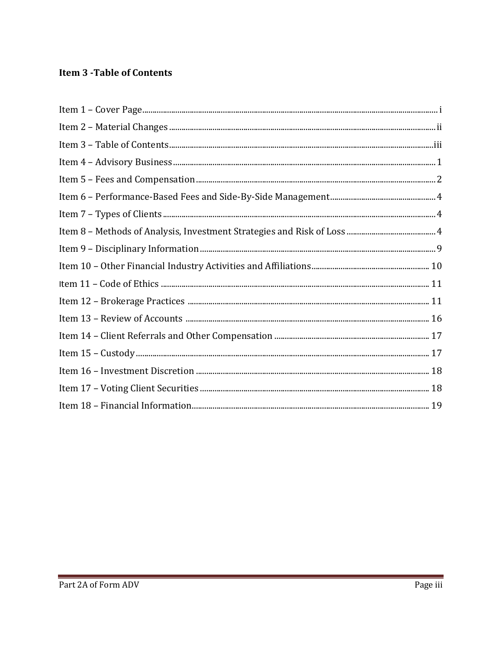## **Item 3 - Table of Contents**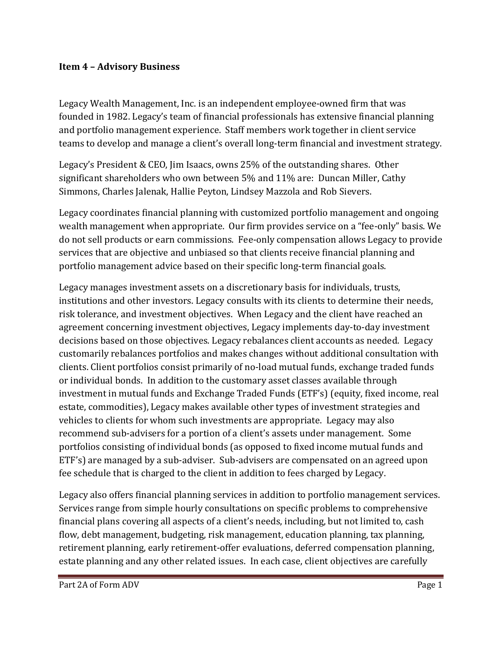#### <span id="page-3-0"></span>**Item 4 – Advisory Business**

Legacy Wealth Management, Inc. is an independent employee-owned firm that was founded in 1982. Legacy's team of financial professionals has extensive financial planning and portfolio management experience. Staff members work together in client service teams to develop and manage a client's overall long-term financial and investment strategy.

Legacy's President & CEO, Jim Isaacs, owns 25% of the outstanding shares. Other significant shareholders who own between 5% and 11% are: Duncan Miller, Cathy Simmons, Charles Jalenak, Hallie Peyton, Lindsey Mazzola and Rob Sievers.

Legacy coordinates financial planning with customized portfolio management and ongoing wealth management when appropriate. Our firm provides service on a "fee-only" basis. We do not sell products or earn commissions. Fee-only compensation allows Legacy to provide services that are objective and unbiased so that clients receive financial planning and portfolio management advice based on their specific long-term financial goals.

Legacy manages investment assets on a discretionary basis for individuals, trusts, institutions and other investors. Legacy consults with its clients to determine their needs, risk tolerance, and investment objectives. When Legacy and the client have reached an agreement concerning investment objectives, Legacy implements day-to-day investment decisions based on those objectives. Legacy rebalances client accounts as needed. Legacy customarily rebalances portfolios and makes changes without additional consultation with clients. Client portfolios consist primarily of no-load mutual funds, exchange traded funds or individual bonds. In addition to the customary asset classes available through investment in mutual funds and Exchange Traded Funds (ETF's) (equity, fixed income, real estate, commodities), Legacy makes available other types of investment strategies and vehicles to clients for whom such investments are appropriate. Legacy may also recommend sub-advisers for a portion of a client's assets under management. Some portfolios consisting of individual bonds (as opposed to fixed income mutual funds and ETF's) are managed by a sub-adviser. Sub-advisers are compensated on an agreed upon fee schedule that is charged to the client in addition to fees charged by Legacy.

Legacy also offers financial planning services in addition to portfolio management services. Services range from simple hourly consultations on specific problems to comprehensive financial plans covering all aspects of a client's needs, including, but not limited to, cash flow, debt management, budgeting, risk management, education planning, tax planning, retirement planning, early retirement-offer evaluations, deferred compensation planning, estate planning and any other related issues. In each case, client objectives are carefully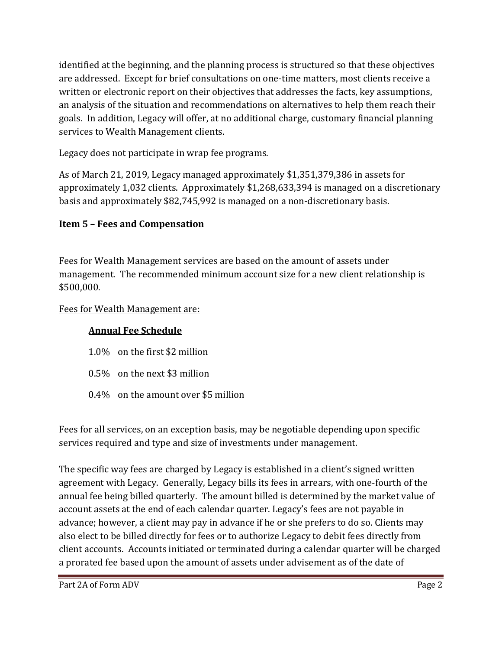identified at the beginning, and the planning process is structured so that these objectives are addressed. Except for brief consultations on one-time matters, most clients receive a written or electronic report on their objectives that addresses the facts, key assumptions, an analysis of the situation and recommendations on alternatives to help them reach their goals. In addition, Legacy will offer, at no additional charge, customary financial planning services to Wealth Management clients.

Legacy does not participate in wrap fee programs.

As of March 21, 2019, Legacy managed approximately \$1,351,379,386 in assets for approximately 1,032 clients. Approximately \$1,268,633,394 is managed on a discretionary basis and approximately \$82,745,992 is managed on a non-discretionary basis.

## <span id="page-4-0"></span>**Item 5 – Fees and Compensation**

Fees for Wealth Management services are based on the amount of assets under management. The recommended minimum account size for a new client relationship is \$500,000.

#### Fees for Wealth Management are:

## **Annual Fee Schedule**

- 1.0% on the first \$2 million
- 0.5% on the next \$3 million
- 0.4% on the amount over \$5 million

Fees for all services, on an exception basis, may be negotiable depending upon specific services required and type and size of investments under management.

The specific way fees are charged by Legacy is established in a client's signed written agreement with Legacy. Generally, Legacy bills its fees in arrears, with one-fourth of the annual fee being billed quarterly. The amount billed is determined by the market value of account assets at the end of each calendar quarter. Legacy's fees are not payable in advance; however, a client may pay in advance if he or she prefers to do so. Clients may also elect to be billed directly for fees or to authorize Legacy to debit fees directly from client accounts. Accounts initiated or terminated during a calendar quarter will be charged a prorated fee based upon the amount of assets under advisement as of the date of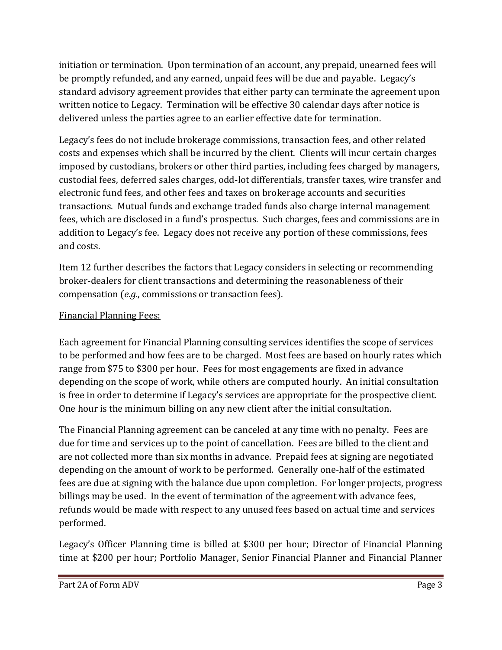initiation or termination. Upon termination of an account, any prepaid, unearned fees will be promptly refunded, and any earned, unpaid fees will be due and payable. Legacy's standard advisory agreement provides that either party can terminate the agreement upon written notice to Legacy. Termination will be effective 30 calendar days after notice is delivered unless the parties agree to an earlier effective date for termination.

Legacy's fees do not include brokerage commissions, transaction fees, and other related costs and expenses which shall be incurred by the client. Clients will incur certain charges imposed by custodians, brokers or other third parties, including fees charged by managers, custodial fees, deferred sales charges, odd-lot differentials, transfer taxes, wire transfer and electronic fund fees, and other fees and taxes on brokerage accounts and securities transactions. Mutual funds and exchange traded funds also charge internal management fees, which are disclosed in a fund's prospectus. Such charges, fees and commissions are in addition to Legacy's fee. Legacy does not receive any portion of these commissions, fees and costs.

Item 12 further describes the factors that Legacy considers in selecting or recommending broker-dealers for client transactions and determining the reasonableness of their compensation (*e.g.*, commissions or transaction fees).

## Financial Planning Fees:

Each agreement for Financial Planning consulting services identifies the scope of services to be performed and how fees are to be charged. Most fees are based on hourly rates which range from \$75 to \$300 per hour. Fees for most engagements are fixed in advance depending on the scope of work, while others are computed hourly. An initial consultation is free in order to determine if Legacy's services are appropriate for the prospective client. One hour is the minimum billing on any new client after the initial consultation.

The Financial Planning agreement can be canceled at any time with no penalty. Fees are due for time and services up to the point of cancellation. Fees are billed to the client and are not collected more than six months in advance. Prepaid fees at signing are negotiated depending on the amount of work to be performed. Generally one-half of the estimated fees are due at signing with the balance due upon completion. For longer projects, progress billings may be used. In the event of termination of the agreement with advance fees, refunds would be made with respect to any unused fees based on actual time and services performed.

Legacy's Officer Planning time is billed at \$300 per hour; Director of Financial Planning time at \$200 per hour; Portfolio Manager, Senior Financial Planner and Financial Planner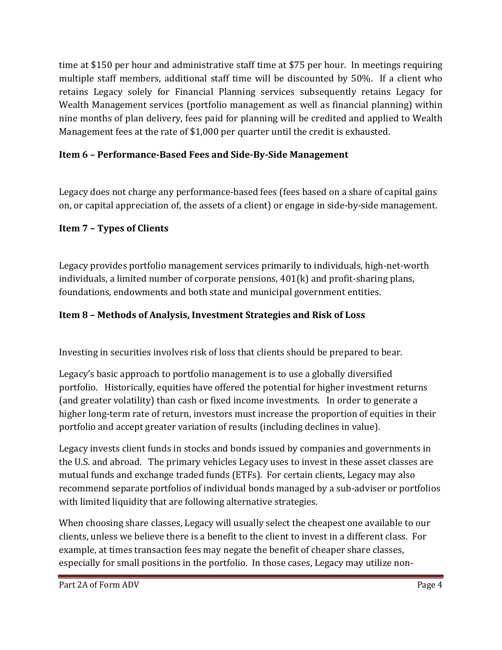time at \$150 per hour and administrative staff time at \$75 per hour. In meetings requiring multiple staff members, additional staff time will be discounted by 50%. If a client who retains Legacy solely for Financial Planning services subsequently retains Legacy for Wealth Management services (portfolio management as well as financial planning) within nine months of plan delivery, fees paid for planning will be credited and applied to Wealth Management fees at the rate of \$1,000 per quarter until the credit is exhausted.

## <span id="page-6-0"></span>**Item 6 – Performance-Based Fees and Side-By-Side Management**

Legacy does not charge any performance-based fees (fees based on a share of capital gains on, or capital appreciation of, the assets of a client) or engage in side-by-side management.

## <span id="page-6-1"></span>**Item 7 – Types of Clients**

Legacy provides portfolio management services primarily to individuals, high-net-worth individuals, a limited number of corporate pensions, 401(k) and profit-sharing plans, foundations, endowments and both state and municipal government entities.

## <span id="page-6-3"></span><span id="page-6-2"></span>**Item 8 – Methods of Analysis, Investment Strategies and Risk of Loss**

Investing in securities involves risk of loss that clients should be prepared to bear.

Legacy's basic approach to portfolio management is to use a globally diversified portfolio. Historically, equities have offered the potential for higher investment returns (and greater volatility) than cash or fixed income investments. In order to generate a higher long-term rate of return, investors must increase the proportion of equities in their portfolio and accept greater variation of results (including declines in value).

Legacy invests client funds in stocks and bonds issued by companies and governments in the U.S. and abroad. The primary vehicles Legacy uses to invest in these asset classes are mutual funds and exchange traded funds (ETFs). For certain clients, Legacy may also recommend separate portfolios of individual bonds managed by a sub-adviser or portfolios with limited liquidity that are following alternative strategies.

When choosing share classes, Legacy will usually select the cheapest one available to our clients, unless we believe there is a benefit to the client to invest in a different class. For example, at times transaction fees may negate the benefit of cheaper share classes, especially for small positions in the portfolio. In those cases, Legacy may utilize non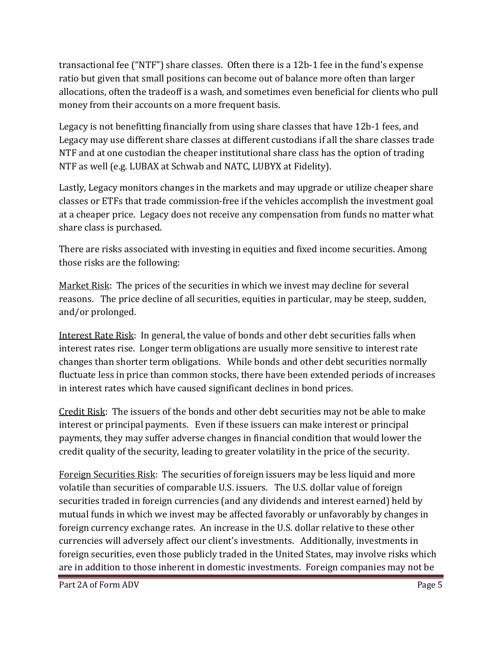transactional fee ("NTF") share classes. Often there is a 12b-1 fee in the fund's expense ratio but given that small positions can become out of balance more often than larger allocations, often the tradeoff is a wash, and sometimes even beneficial for clients who pull money from their accounts on a more frequent basis.

Legacy is not benefitting financially from using share classes that have 12b-1 fees, and Legacy may use different share classes at different custodians if all the share classes trade NTF and at one custodian the cheaper institutional share class has the option of trading NTF as well (e.g. LUBAX at Schwab and NATC, LUBYX at Fidelity).

Lastly, Legacy monitors changes in the markets and may upgrade or utilize cheaper share classes or ETFs that trade commission-free if the vehicles accomplish the investment goal at a cheaper price. Legacy does not receive any compensation from funds no matter what share class is purchased.

There are risks associated with investing in equities and fixed income securities. Among those risks are the following:

Market Risk: The prices of the securities in which we invest may decline for several reasons. The price decline of all securities, equities in particular, may be steep, sudden, and/or prolonged.

Interest Rate Risk: In general, the value of bonds and other debt securities falls when interest rates rise. Longer term obligations are usually more sensitive to interest rate changes than shorter term obligations. While bonds and other debt securities normally fluctuate less in price than common stocks, there have been extended periods of increases in interest rates which have caused significant declines in bond prices.

Credit Risk: The issuers of the bonds and other debt securities may not be able to make interest or principal payments. Even if these issuers can make interest or principal payments, they may suffer adverse changes in financial condition that would lower the credit quality of the security, leading to greater volatility in the price of the security.

Foreign Securities Risk: The securities of foreign issuers may be less liquid and more volatile than securities of comparable U.S. issuers. The U.S. dollar value of foreign securities traded in foreign currencies (and any dividends and interest earned) held by mutual funds in which we invest may be affected favorably or unfavorably by changes in foreign currency exchange rates. An increase in the U.S. dollar relative to these other currencies will adversely affect our client's investments. Additionally, investments in foreign securities, even those publicly traded in the United States, may involve risks which are in addition to those inherent in domestic investments. Foreign companies may not be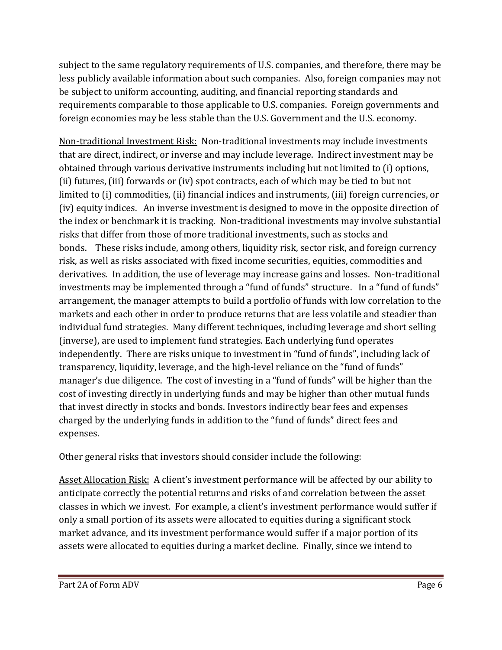subject to the same regulatory requirements of U.S. companies, and therefore, there may be less publicly available information about such companies. Also, foreign companies may not be subject to uniform accounting, auditing, and financial reporting standards and requirements comparable to those applicable to U.S. companies. Foreign governments and foreign economies may be less stable than the U.S. Government and the U.S. economy.

Non-traditional Investment Risk: Non-traditional investments may include investments that are direct, indirect, or inverse and may include leverage. Indirect investment may be obtained through various derivative instruments including but not limited to (i) options, (ii) futures, (iii) forwards or (iv) spot contracts, each of which may be tied to but not limited to (i) commodities, (ii) financial indices and instruments, (iii) foreign currencies, or (iv) equity indices. An inverse investment is designed to move in the opposite direction of the index or benchmark it is tracking. Non-traditional investments may involve substantial risks that differ from those of more traditional investments, such as stocks and bonds. These risks include, among others, liquidity risk, sector risk, and foreign currency risk, as well as risks associated with fixed income securities, equities, commodities and derivatives. In addition, the use of leverage may increase gains and losses. Non-traditional investments may be implemented through a "fund of funds" structure. In a "fund of funds" arrangement, the manager attempts to build a portfolio of funds with low correlation to the markets and each other in order to produce returns that are less volatile and steadier than individual fund strategies. Many different techniques, including leverage and short selling (inverse), are used to implement fund strategies. Each underlying fund operates independently. There are risks unique to investment in "fund of funds", including lack of transparency, liquidity, leverage, and the high-level reliance on the "fund of funds" manager's due diligence. The cost of investing in a "fund of funds" will be higher than the cost of investing directly in underlying funds and may be higher than other mutual funds that invest directly in stocks and bonds. Investors indirectly bear fees and expenses charged by the underlying funds in addition to the "fund of funds" direct fees and expenses.

Other general risks that investors should consider include the following:

Asset Allocation Risk: A client's investment performance will be affected by our ability to anticipate correctly the potential returns and risks of and correlation between the asset classes in which we invest. For example, a client's investment performance would suffer if only a small portion of its assets were allocated to equities during a significant stock market advance, and its investment performance would suffer if a major portion of its assets were allocated to equities during a market decline. Finally, since we intend to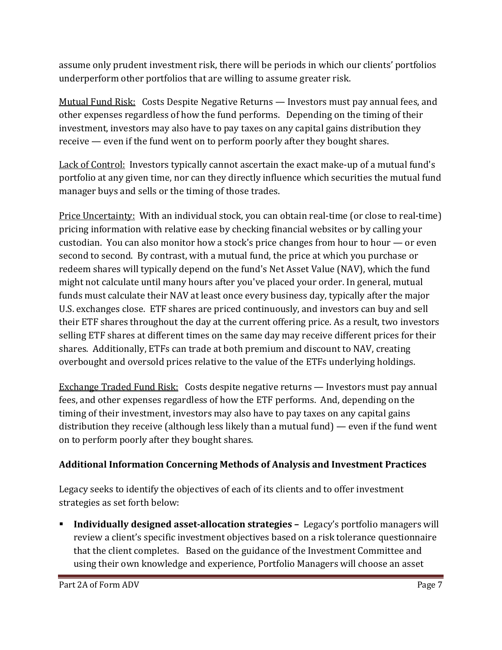assume only prudent investment risk, there will be periods in which our clients' portfolios underperform other portfolios that are willing to assume greater risk.

Mutual Fund Risk: Costs Despite Negative Returns — Investors must pay annual fees, and other expenses regardless of how the fund performs. Depending on the timing of their investment, investors may also have to pay taxes on any capital gains distribution they receive — even if the fund went on to perform poorly after they bought shares.

Lack of Control: Investors typically cannot ascertain the exact make-up of a mutual fund's portfolio at any given time, nor can they directly influence which securities the mutual fund manager buys and sells or the timing of those trades.

Price Uncertainty: With an individual stock, you can obtain real-time (or close to real-time) pricing information with relative ease by checking financial websites or by calling your custodian. You can also monitor how a stock's price changes from hour to hour — or even second to second. By contrast, with a mutual fund, the price at which you purchase or redeem shares will typically depend on the fund's Net Asset Value (NAV), which the fund might not calculate until many hours after you've placed your order. In general, mutual funds must calculate their NAV at least once every business day, typically after the major U.S. exchanges close. ETF shares are priced continuously, and investors can buy and sell their ETF shares throughout the day at the current offering price. As a result, two investors selling ETF shares at different times on the same day may receive different prices for their shares. Additionally, ETFs can trade at both premium and discount to NAV, creating overbought and oversold prices relative to the value of the ETFs underlying holdings.

Exchange Traded Fund Risk: Costs despite negative returns — Investors must pay annual fees, and other expenses regardless of how the ETF performs. And, depending on the timing of their investment, investors may also have to pay taxes on any capital gains distribution they receive (although less likely than a mutual fund) — even if the fund went on to perform poorly after they bought shares.

## **Additional Information Concerning Methods of Analysis and Investment Practices**

Legacy seeks to identify the objectives of each of its clients and to offer investment strategies as set forth below:

 **Individually designed asset-allocation strategies –** Legacy's portfolio managers will review a client's specific investment objectives based on a risk tolerance questionnaire that the client completes. Based on the guidance of the Investment Committee and using their own knowledge and experience, Portfolio Managers will choose an asset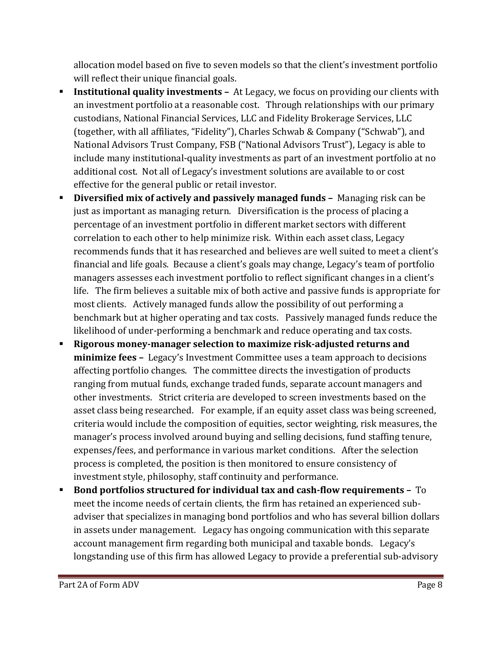allocation model based on five to seven models so that the client's investment portfolio will reflect their unique financial goals.

- **Institutional quality investments –** At Legacy, we focus on providing our clients with an investment portfolio at a reasonable cost. Through relationships with our primary custodians, National Financial Services, LLC and Fidelity Brokerage Services, LLC (together, with all affiliates, "Fidelity"), Charles Schwab & Company ("Schwab"), and National Advisors Trust Company, FSB ("National Advisors Trust"), Legacy is able to include many institutional-quality investments as part of an investment portfolio at no additional cost. Not all of Legacy's investment solutions are available to or cost effective for the general public or retail investor.
- **Diversified mix of actively and passively managed funds –** Managing risk can be just as important as managing return. Diversification is the process of placing a percentage of an investment portfolio in different market sectors with different correlation to each other to help minimize risk. Within each asset class, Legacy recommends funds that it has researched and believes are well suited to meet a client's financial and life goals. Because a client's goals may change, Legacy's team of portfolio managers assesses each investment portfolio to reflect significant changes in a client's life. The firm believes a suitable mix of both active and passive funds is appropriate for most clients. Actively managed funds allow the possibility of out performing a benchmark but at higher operating and tax costs. Passively managed funds reduce the likelihood of under-performing a benchmark and reduce operating and tax costs.
- **Rigorous money-manager selection to maximize risk-adjusted returns and minimize fees –** Legacy's Investment Committee uses a team approach to decisions affecting portfolio changes. The committee directs the investigation of products ranging from mutual funds, exchange traded funds, separate account managers and other investments. Strict criteria are developed to screen investments based on the asset class being researched. For example, if an equity asset class was being screened, criteria would include the composition of equities, sector weighting, risk measures, the manager's process involved around buying and selling decisions, fund staffing tenure, expenses/fees, and performance in various market conditions. After the selection process is completed, the position is then monitored to ensure consistency of investment style, philosophy, staff continuity and performance.
- **Bond portfolios structured for individual tax and cash-flow requirements –** To meet the income needs of certain clients, the firm has retained an experienced subadviser that specializes in managing bond portfolios and who has several billion dollars in assets under management. Legacy has ongoing communication with this separate account management firm regarding both municipal and taxable bonds. Legacy's longstanding use of this firm has allowed Legacy to provide a preferential sub-advisory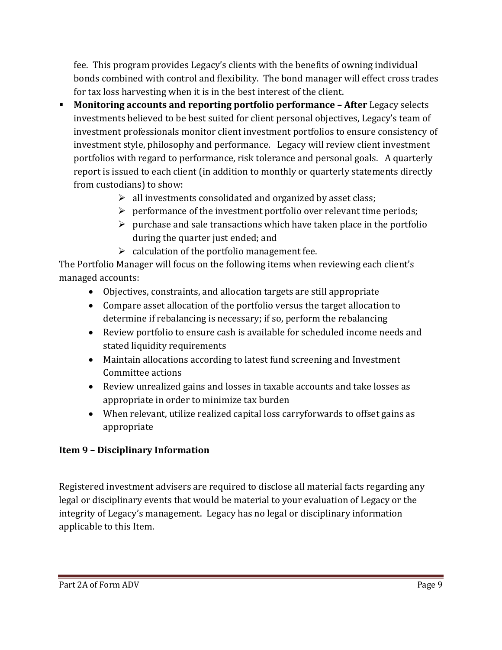fee. This program provides Legacy's clients with the benefits of owning individual bonds combined with control and flexibility. The bond manager will effect cross trades for tax loss harvesting when it is in the best interest of the client.

- **Monitoring accounts and reporting portfolio performance – After** Legacy selects investments believed to be best suited for client personal objectives, Legacy's team of investment professionals monitor client investment portfolios to ensure consistency of investment style, philosophy and performance. Legacy will review client investment portfolios with regard to performance, risk tolerance and personal goals. A quarterly report is issued to each client (in addition to monthly or quarterly statements directly from custodians) to show:
	- $\triangleright$  all investments consolidated and organized by asset class;
	- $\triangleright$  performance of the investment portfolio over relevant time periods;
	- $\triangleright$  purchase and sale transactions which have taken place in the portfolio during the quarter just ended; and
	- $\triangleright$  calculation of the portfolio management fee.

The Portfolio Manager will focus on the following items when reviewing each client's managed accounts:

- Objectives, constraints, and allocation targets are still appropriate
- Compare asset allocation of the portfolio versus the target allocation to determine if rebalancing is necessary; if so, perform the rebalancing
- Review portfolio to ensure cash is available for scheduled income needs and stated liquidity requirements
- Maintain allocations according to latest fund screening and Investment Committee actions
- Review unrealized gains and losses in taxable accounts and take losses as appropriate in order to minimize tax burden
- When relevant, utilize realized capital loss carryforwards to offset gains as appropriate

## **Item 9 – Disciplinary Information**

Registered investment advisers are required to disclose all material facts regarding any legal or disciplinary events that would be material to your evaluation of Legacy or the integrity of Legacy's management. Legacy has no legal or disciplinary information applicable to this Item.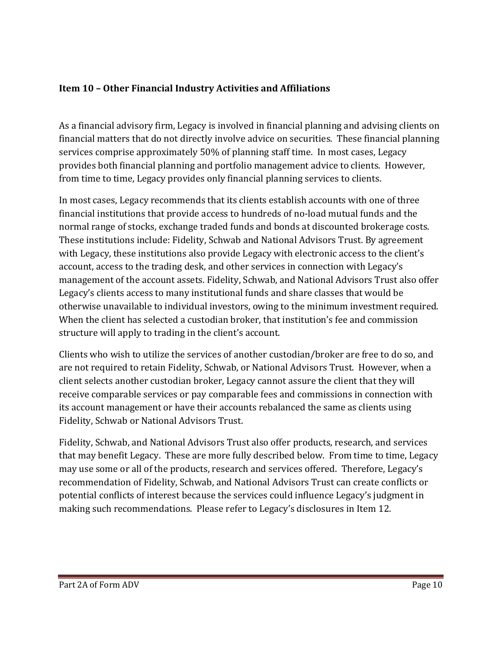#### <span id="page-12-0"></span>**Item 10 – Other Financial Industry Activities and Affiliations**

As a financial advisory firm, Legacy is involved in financial planning and advising clients on financial matters that do not directly involve advice on securities. These financial planning services comprise approximately 50% of planning staff time. In most cases, Legacy provides both financial planning and portfolio management advice to clients. However, from time to time, Legacy provides only financial planning services to clients.

In most cases, Legacy recommends that its clients establish accounts with one of three financial institutions that provide access to hundreds of no-load mutual funds and the normal range of stocks, exchange traded funds and bonds at discounted brokerage costs. These institutions include: Fidelity, Schwab and National Advisors Trust. By agreement with Legacy, these institutions also provide Legacy with electronic access to the client's account, access to the trading desk, and other services in connection with Legacy's management of the account assets. Fidelity, Schwab, and National Advisors Trust also offer Legacy's clients access to many institutional funds and share classes that would be otherwise unavailable to individual investors, owing to the minimum investment required. When the client has selected a custodian broker, that institution's fee and commission structure will apply to trading in the client's account.

Clients who wish to utilize the services of another custodian/broker are free to do so, and are not required to retain Fidelity, Schwab, or National Advisors Trust. However, when a client selects another custodian broker, Legacy cannot assure the client that they will receive comparable services or pay comparable fees and commissions in connection with its account management or have their accounts rebalanced the same as clients using Fidelity, Schwab or National Advisors Trust.

Fidelity, Schwab, and National Advisors Trust also offer products, research, and services that may benefit Legacy. These are more fully described below. From time to time, Legacy may use some or all of the products, research and services offered. Therefore, Legacy's recommendation of Fidelity, Schwab, and National Advisors Trust can create conflicts or potential conflicts of interest because the services could influence Legacy's judgment in making such recommendations. Please refer to Legacy's disclosures in Item 12.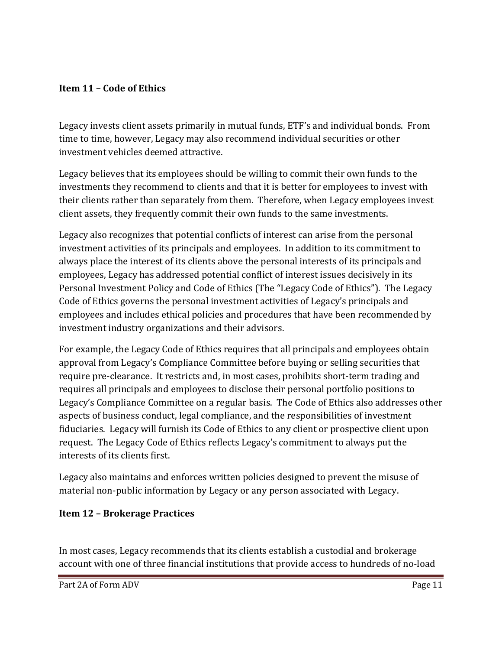#### <span id="page-13-0"></span>**Item 11 – Code of Ethics**

Legacy invests client assets primarily in mutual funds, ETF's and individual bonds. From time to time, however, Legacy may also recommend individual securities or other investment vehicles deemed attractive.

Legacy believes that its employees should be willing to commit their own funds to the investments they recommend to clients and that it is better for employees to invest with their clients rather than separately from them. Therefore, when Legacy employees invest client assets, they frequently commit their own funds to the same investments.

Legacy also recognizes that potential conflicts of interest can arise from the personal investment activities of its principals and employees. In addition to its commitment to always place the interest of its clients above the personal interests of its principals and employees, Legacy has addressed potential conflict of interest issues decisively in its Personal Investment Policy and Code of Ethics (The "Legacy Code of Ethics"). The Legacy Code of Ethics governs the personal investment activities of Legacy's principals and employees and includes ethical policies and procedures that have been recommended by investment industry organizations and their advisors.

For example, the Legacy Code of Ethics requires that all principals and employees obtain approval from Legacy's Compliance Committee before buying or selling securities that require pre-clearance. It restricts and, in most cases, prohibits short-term trading and requires all principals and employees to disclose their personal portfolio positions to Legacy's Compliance Committee on a regular basis. The Code of Ethics also addresses other aspects of business conduct, legal compliance, and the responsibilities of investment fiduciaries. Legacy will furnish its Code of Ethics to any client or prospective client upon request. The Legacy Code of Ethics reflects Legacy's commitment to always put the interests of its clients first.

<span id="page-13-1"></span>Legacy also maintains and enforces written policies designed to prevent the misuse of material non-public information by Legacy or any person associated with Legacy.

## **Item 12 – Brokerage Practices**

In most cases, Legacy recommends that its clients establish a custodial and brokerage account with one of three financial institutions that provide access to hundreds of no-load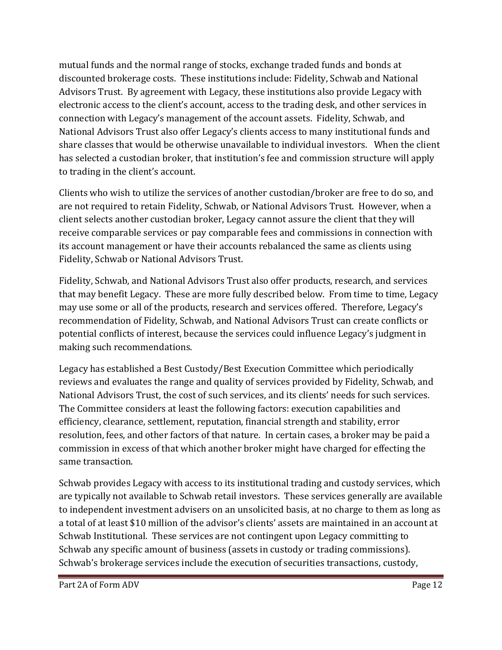mutual funds and the normal range of stocks, exchange traded funds and bonds at discounted brokerage costs. These institutions include: Fidelity, Schwab and National Advisors Trust. By agreement with Legacy, these institutions also provide Legacy with electronic access to the client's account, access to the trading desk, and other services in connection with Legacy's management of the account assets. Fidelity, Schwab, and National Advisors Trust also offer Legacy's clients access to many institutional funds and share classes that would be otherwise unavailable to individual investors. When the client has selected a custodian broker, that institution's fee and commission structure will apply to trading in the client's account.

Clients who wish to utilize the services of another custodian/broker are free to do so, and are not required to retain Fidelity, Schwab, or National Advisors Trust. However, when a client selects another custodian broker, Legacy cannot assure the client that they will receive comparable services or pay comparable fees and commissions in connection with its account management or have their accounts rebalanced the same as clients using Fidelity, Schwab or National Advisors Trust.

Fidelity, Schwab, and National Advisors Trust also offer products, research, and services that may benefit Legacy. These are more fully described below. From time to time, Legacy may use some or all of the products, research and services offered. Therefore, Legacy's recommendation of Fidelity, Schwab, and National Advisors Trust can create conflicts or potential conflicts of interest, because the services could influence Legacy's judgment in making such recommendations.

Legacy has established a Best Custody/Best Execution Committee which periodically reviews and evaluates the range and quality of services provided by Fidelity, Schwab, and National Advisors Trust, the cost of such services, and its clients' needs for such services. The Committee considers at least the following factors: execution capabilities and efficiency, clearance, settlement, reputation, financial strength and stability, error resolution, fees, and other factors of that nature. In certain cases, a broker may be paid a commission in excess of that which another broker might have charged for effecting the same transaction.

Schwab provides Legacy with access to its institutional trading and custody services, which are typically not available to Schwab retail investors. These services generally are available to independent investment advisers on an unsolicited basis, at no charge to them as long as a total of at least \$10 million of the advisor's clients' assets are maintained in an account at Schwab Institutional. These services are not contingent upon Legacy committing to Schwab any specific amount of business (assets in custody or trading commissions). Schwab's brokerage services include the execution of securities transactions, custody,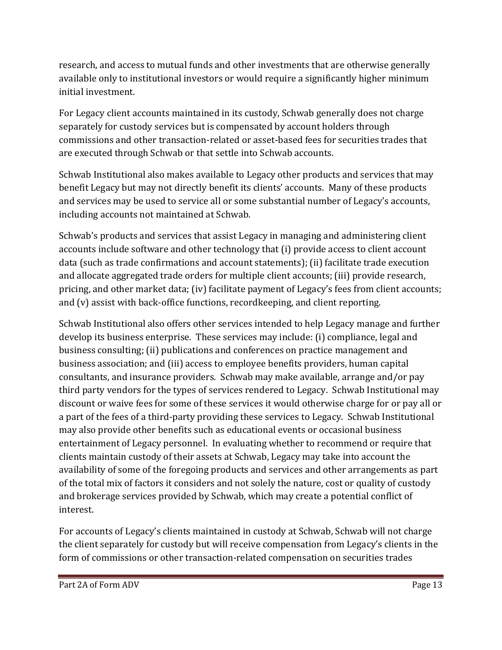research, and access to mutual funds and other investments that are otherwise generally available only to institutional investors or would require a significantly higher minimum initial investment.

For Legacy client accounts maintained in its custody, Schwab generally does not charge separately for custody services but is compensated by account holders through commissions and other transaction-related or asset-based fees for securities trades that are executed through Schwab or that settle into Schwab accounts.

Schwab Institutional also makes available to Legacy other products and services that may benefit Legacy but may not directly benefit its clients' accounts. Many of these products and services may be used to service all or some substantial number of Legacy's accounts, including accounts not maintained at Schwab.

Schwab's products and services that assist Legacy in managing and administering client accounts include software and other technology that (i) provide access to client account data (such as trade confirmations and account statements); (ii) facilitate trade execution and allocate aggregated trade orders for multiple client accounts; (iii) provide research, pricing, and other market data; (iv) facilitate payment of Legacy's fees from client accounts; and (v) assist with back-office functions, recordkeeping, and client reporting.

Schwab Institutional also offers other services intended to help Legacy manage and further develop its business enterprise. These services may include: (i) compliance, legal and business consulting; (ii) publications and conferences on practice management and business association; and (iii) access to employee benefits providers, human capital consultants, and insurance providers. Schwab may make available, arrange and/or pay third party vendors for the types of services rendered to Legacy. Schwab Institutional may discount or waive fees for some of these services it would otherwise charge for or pay all or a part of the fees of a third-party providing these services to Legacy. Schwab Institutional may also provide other benefits such as educational events or occasional business entertainment of Legacy personnel. In evaluating whether to recommend or require that clients maintain custody of their assets at Schwab, Legacy may take into account the availability of some of the foregoing products and services and other arrangements as part of the total mix of factors it considers and not solely the nature, cost or quality of custody and brokerage services provided by Schwab, which may create a potential conflict of interest.

For accounts of Legacy's clients maintained in custody at Schwab, Schwab will not charge the client separately for custody but will receive compensation from Legacy's clients in the form of commissions or other transaction-related compensation on securities trades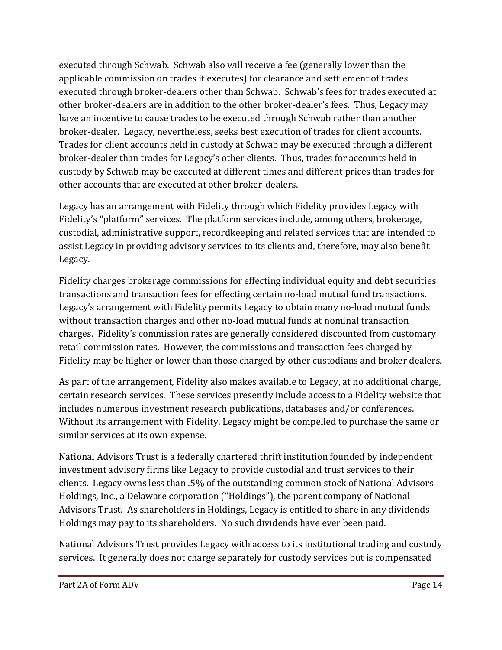executed through Schwab. Schwab also will receive a fee (generally lower than the applicable commission on trades it executes) for clearance and settlement of trades executed through broker-dealers other than Schwab. Schwab's fees for trades executed at other broker-dealers are in addition to the other broker-dealer's fees. Thus, Legacy may have an incentive to cause trades to be executed through Schwab rather than another broker-dealer. Legacy, nevertheless, seeks best execution of trades for client accounts. Trades for client accounts held in custody at Schwab may be executed through a different broker-dealer than trades for Legacy's other clients. Thus, trades for accounts held in custody by Schwab may be executed at different times and different prices than trades for other accounts that are executed at other broker-dealers.

Legacy has an arrangement with Fidelity through which Fidelity provides Legacy with Fidelity's "platform" services. The platform services include, among others, brokerage, custodial, administrative support, recordkeeping and related services that are intended to assist Legacy in providing advisory services to its clients and, therefore, may also benefit Legacy.

Fidelity charges brokerage commissions for effecting individual equity and debt securities transactions and transaction fees for effecting certain no-load mutual fund transactions. Legacy's arrangement with Fidelity permits Legacy to obtain many no-load mutual funds without transaction charges and other no-load mutual funds at nominal transaction charges. Fidelity's commission rates are generally considered discounted from customary retail commission rates. However, the commissions and transaction fees charged by Fidelity may be higher or lower than those charged by other custodians and broker dealers.

As part of the arrangement, Fidelity also makes available to Legacy, at no additional charge, certain research services. These services presently include access to a Fidelity website that includes numerous investment research publications, databases and/or conferences. Without its arrangement with Fidelity, Legacy might be compelled to purchase the same or similar services at its own expense.

National Advisors Trust is a federally chartered thrift institution founded by independent investment advisory firms like Legacy to provide custodial and trust services to their clients. Legacy owns less than .5% of the outstanding common stock of National Advisors Holdings, Inc., a Delaware corporation ("Holdings"), the parent company of National Advisors Trust. As shareholders in Holdings, Legacy is entitled to share in any dividends Holdings may pay to its shareholders. No such dividends have ever been paid.

National Advisors Trust provides Legacy with access to its institutional trading and custody services. It generally does not charge separately for custody services but is compensated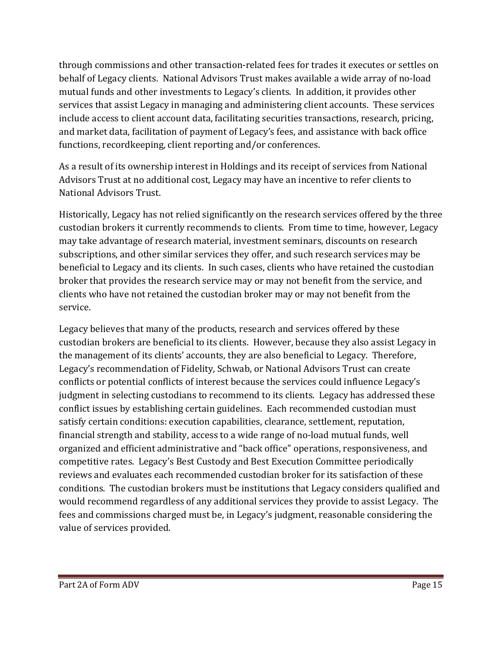through commissions and other transaction-related fees for trades it executes or settles on behalf of Legacy clients. National Advisors Trust makes available a wide array of no-load mutual funds and other investments to Legacy's clients. In addition, it provides other services that assist Legacy in managing and administering client accounts. These services include access to client account data, facilitating securities transactions, research, pricing, and market data, facilitation of payment of Legacy's fees, and assistance with back office functions, recordkeeping, client reporting and/or conferences.

As a result of its ownership interest in Holdings and its receipt of services from National Advisors Trust at no additional cost, Legacy may have an incentive to refer clients to National Advisors Trust.

Historically, Legacy has not relied significantly on the research services offered by the three custodian brokers it currently recommends to clients. From time to time, however, Legacy may take advantage of research material, investment seminars, discounts on research subscriptions, and other similar services they offer, and such research services may be beneficial to Legacy and its clients. In such cases, clients who have retained the custodian broker that provides the research service may or may not benefit from the service, and clients who have not retained the custodian broker may or may not benefit from the service.

Legacy believes that many of the products, research and services offered by these custodian brokers are beneficial to its clients. However, because they also assist Legacy in the management of its clients' accounts, they are also beneficial to Legacy. Therefore, Legacy's recommendation of Fidelity, Schwab, or National Advisors Trust can create conflicts or potential conflicts of interest because the services could influence Legacy's judgment in selecting custodians to recommend to its clients. Legacy has addressed these conflict issues by establishing certain guidelines. Each recommended custodian must satisfy certain conditions: execution capabilities, clearance, settlement, reputation, financial strength and stability, access to a wide range of no-load mutual funds, well organized and efficient administrative and "back office" operations, responsiveness, and competitive rates. Legacy's Best Custody and Best Execution Committee periodically reviews and evaluates each recommended custodian broker for its satisfaction of these conditions. The custodian brokers must be institutions that Legacy considers qualified and would recommend regardless of any additional services they provide to assist Legacy. The fees and commissions charged must be, in Legacy's judgment, reasonable considering the value of services provided.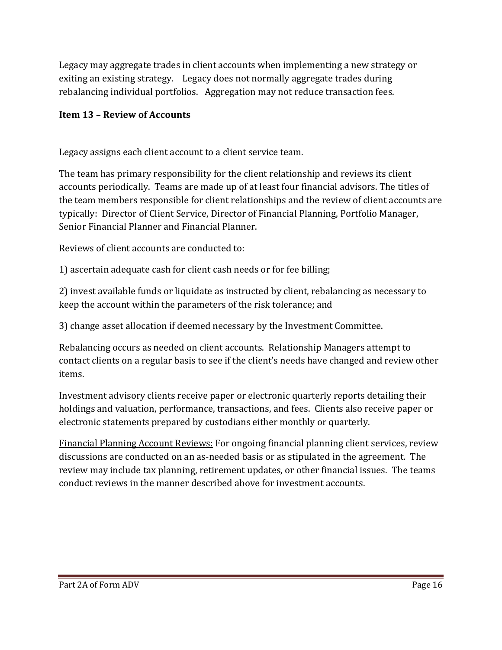Legacy may aggregate trades in client accounts when implementing a new strategy or exiting an existing strategy. Legacy does not normally aggregate trades during rebalancing individual portfolios. Aggregation may not reduce transaction fees.

## <span id="page-18-0"></span>**Item 13 – Review of Accounts**

Legacy assigns each client account to a client service team.

The team has primary responsibility for the client relationship and reviews its client accounts periodically. Teams are made up of at least four financial advisors. The titles of the team members responsible for client relationships and the review of client accounts are typically: Director of Client Service, Director of Financial Planning, Portfolio Manager, Senior Financial Planner and Financial Planner.

Reviews of client accounts are conducted to:

1) ascertain adequate cash for client cash needs or for fee billing;

2) invest available funds or liquidate as instructed by client, rebalancing as necessary to keep the account within the parameters of the risk tolerance; and

3) change asset allocation if deemed necessary by the Investment Committee.

Rebalancing occurs as needed on client accounts. Relationship Managers attempt to contact clients on a regular basis to see if the client's needs have changed and review other items.

Investment advisory clients receive paper or electronic quarterly reports detailing their holdings and valuation, performance, transactions, and fees. Clients also receive paper or electronic statements prepared by custodians either monthly or quarterly.

<span id="page-18-1"></span>Financial Planning Account Reviews: For ongoing financial planning client services, review discussions are conducted on an as-needed basis or as stipulated in the agreement. The review may include tax planning, retirement updates, or other financial issues. The teams conduct reviews in the manner described above for investment accounts.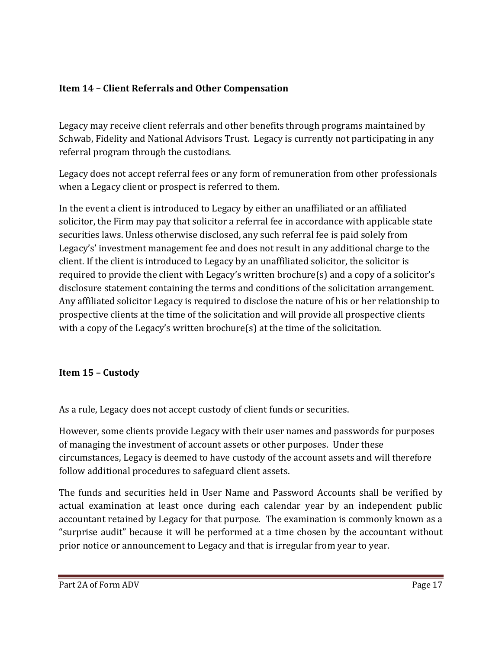## **Item 14 – Client Referrals and Other Compensation**

Legacy may receive client referrals and other benefits through programs maintained by Schwab, Fidelity and National Advisors Trust. Legacy is currently not participating in any referral program through the custodians.

Legacy does not accept referral fees or any form of remuneration from other professionals when a Legacy client or prospect is referred to them.

In the event a client is introduced to Legacy by either an unaffiliated or an affiliated solicitor, the Firm may pay that solicitor a referral fee in accordance with applicable state securities laws. Unless otherwise disclosed, any such referral fee is paid solely from Legacy's' investment management fee and does not result in any additional charge to the client. If the client is introduced to Legacy by an unaffiliated solicitor, the solicitor is required to provide the client with Legacy's written brochure(s) and a copy of a solicitor's disclosure statement containing the terms and conditions of the solicitation arrangement. Any affiliated solicitor Legacy is required to disclose the nature of his or her relationship to prospective clients at the time of the solicitation and will provide all prospective clients with a copy of the Legacy's written brochure(s) at the time of the solicitation.

## <span id="page-19-0"></span>**Item 15 – Custody**

As a rule, Legacy does not accept custody of client funds or securities.

However, some clients provide Legacy with their user names and passwords for purposes of managing the investment of account assets or other purposes. Under these circumstances, Legacy is deemed to have custody of the account assets and will therefore follow additional procedures to safeguard client assets.

The funds and securities held in User Name and Password Accounts shall be verified by actual examination at least once during each calendar year by an independent public accountant retained by Legacy for that purpose. The examination is commonly known as a "surprise audit" because it will be performed at a time chosen by the accountant without prior notice or announcement to Legacy and that is irregular from year to year.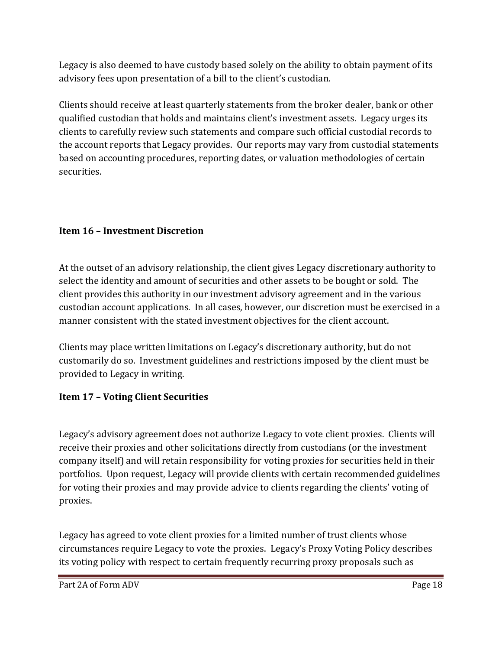Legacy is also deemed to have custody based solely on the ability to obtain payment of its advisory fees upon presentation of a bill to the client's custodian.

Clients should receive at least quarterly statements from the broker dealer, bank or other qualified custodian that holds and maintains client's investment assets. Legacy urges its clients to carefully review such statements and compare such official custodial records to the account reports that Legacy provides. Our reports may vary from custodial statements based on accounting procedures, reporting dates, or valuation methodologies of certain securities.

## <span id="page-20-0"></span>**Item 16 – Investment Discretion**

At the outset of an advisory relationship, the client gives Legacy discretionary authority to select the identity and amount of securities and other assets to be bought or sold. The client provides this authority in our investment advisory agreement and in the various custodian account applications. In all cases, however, our discretion must be exercised in a manner consistent with the stated investment objectives for the client account.

Clients may place written limitations on Legacy's discretionary authority, but do not customarily do so. Investment guidelines and restrictions imposed by the client must be provided to Legacy in writing.

## <span id="page-20-1"></span>**Item 17 – Voting Client Securities**

Legacy's advisory agreement does not authorize Legacy to vote client proxies. Clients will receive their proxies and other solicitations directly from custodians (or the investment company itself) and will retain responsibility for voting proxies for securities held in their portfolios. Upon request, Legacy will provide clients with certain recommended guidelines for voting their proxies and may provide advice to clients regarding the clients' voting of proxies.

Legacy has agreed to vote client proxies for a limited number of trust clients whose circumstances require Legacy to vote the proxies. Legacy's Proxy Voting Policy describes its voting policy with respect to certain frequently recurring proxy proposals such as